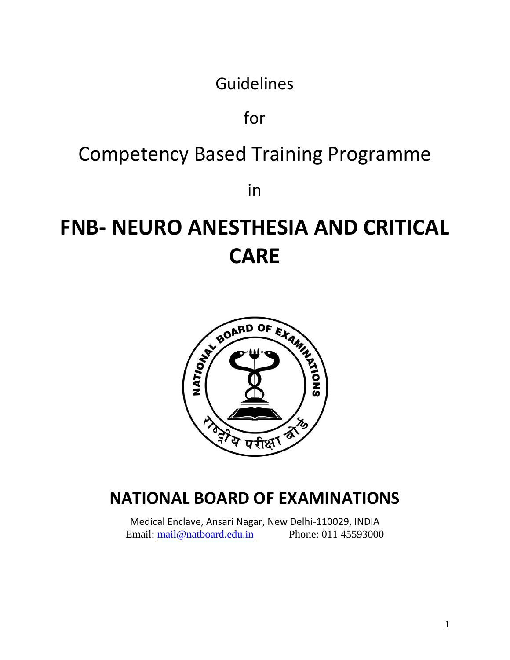Guidelines

for

## Competency Based Training Programme

in

# **FNB- NEURO ANESTHESIA AND CRITICAL CARE**



## **NATIONAL BOARD OF EXAMINATIONS**

Medical Enclave, Ansari Nagar, New Delhi-110029, INDIA Email: [mail@natboard.edu.in](mailto:mail@natboard.edu.in) Phone: 011 45593000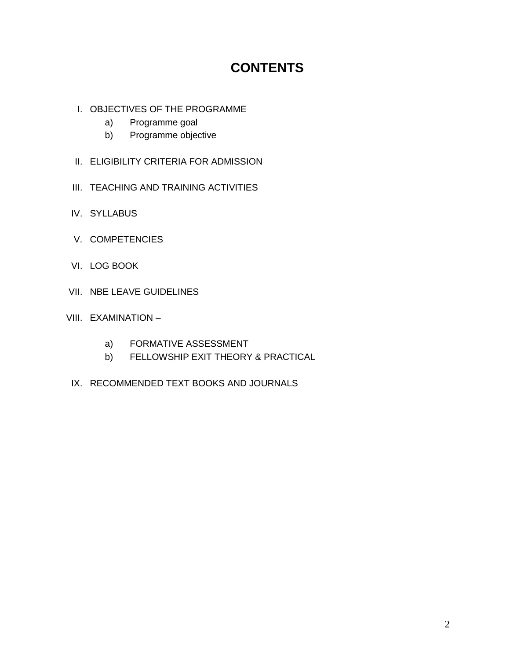## **CONTENTS**

- I. OBJECTIVES OF THE PROGRAMME
	- a) Programme goal
	- b) Programme objective
- II. ELIGIBILITY CRITERIA FOR ADMISSION
- III. TEACHING AND TRAINING ACTIVITIES
- IV. SYLLABUS
- V. COMPETENCIES
- VI. LOG BOOK
- VII. NBE LEAVE GUIDELINES
- VIII. EXAMINATION
	- a) FORMATIVE ASSESSMENT
	- b) FELLOWSHIP EXIT THEORY & PRACTICAL
	- IX. RECOMMENDED TEXT BOOKS AND JOURNALS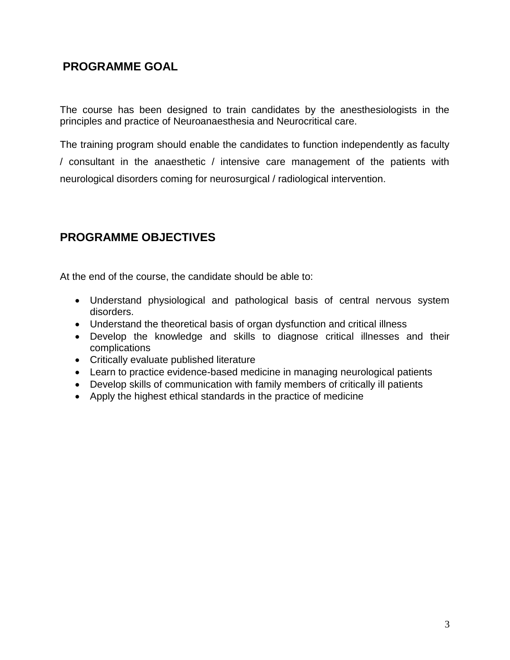## **PROGRAMME GOAL**

The course has been designed to train candidates by the anesthesiologists in the principles and practice of Neuroanaesthesia and Neurocritical care.

The training program should enable the candidates to function independently as faculty / consultant in the anaesthetic / intensive care management of the patients with neurological disorders coming for neurosurgical / radiological intervention.

## **PROGRAMME OBJECTIVES**

At the end of the course, the candidate should be able to:

- Understand physiological and pathological basis of central nervous system disorders.
- Understand the theoretical basis of organ dysfunction and critical illness
- Develop the knowledge and skills to diagnose critical illnesses and their complications
- Critically evaluate published literature
- Learn to practice evidence-based medicine in managing neurological patients
- Develop skills of communication with family members of critically ill patients
- Apply the highest ethical standards in the practice of medicine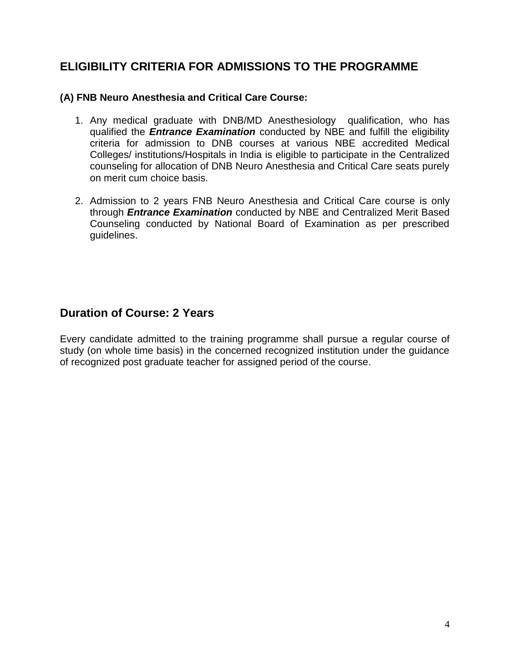## **ELIGIBILITY CRITERIA FOR ADMISSIONS TO THE PROGRAMME**

#### **(A) FNB Neuro Anesthesia and Critical Care Course:**

- 1. Any medical graduate with DNB/MD Anesthesiology qualification, who has qualified the *Entrance Examination* conducted by NBE and fulfill the eligibility criteria for admission to DNB courses at various NBE accredited Medical Colleges/ institutions/Hospitals in India is eligible to participate in the Centralized counseling for allocation of DNB Neuro Anesthesia and Critical Care seats purely on merit cum choice basis.
- 2. Admission to 2 years FNB Neuro Anesthesia and Critical Care course is only through *Entrance Examination* conducted by NBE and Centralized Merit Based Counseling conducted by National Board of Examination as per prescribed guidelines.

## **Duration of Course: 2 Years**

Every candidate admitted to the training programme shall pursue a regular course of study (on whole time basis) in the concerned recognized institution under the guidance of recognized post graduate teacher for assigned period of the course.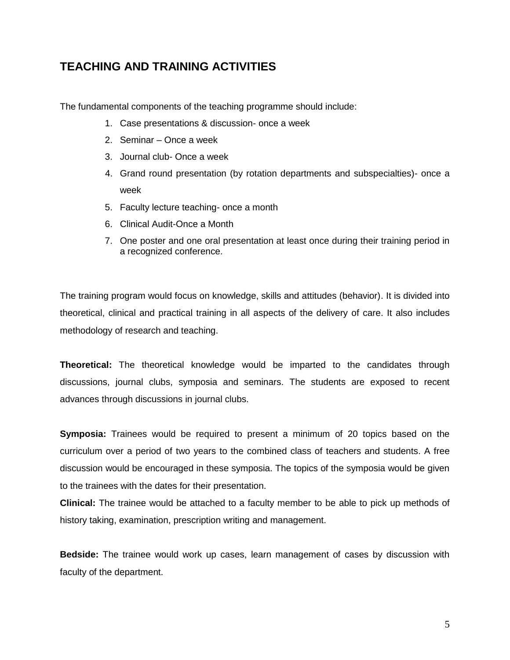## **TEACHING AND TRAINING ACTIVITIES**

The fundamental components of the teaching programme should include:

- 1. Case presentations & discussion- once a week
- 2. Seminar Once a week
- 3. Journal club- Once a week
- 4. Grand round presentation (by rotation departments and subspecialties)- once a week
- 5. Faculty lecture teaching- once a month
- 6. Clinical Audit-Once a Month
- 7. One poster and one oral presentation at least once during their training period in a recognized conference.

The training program would focus on knowledge, skills and attitudes (behavior). It is divided into theoretical, clinical and practical training in all aspects of the delivery of care. It also includes methodology of research and teaching.

**Theoretical:** The theoretical knowledge would be imparted to the candidates through discussions, journal clubs, symposia and seminars. The students are exposed to recent advances through discussions in journal clubs.

**Symposia:** Trainees would be required to present a minimum of 20 topics based on the curriculum over a period of two years to the combined class of teachers and students. A free discussion would be encouraged in these symposia. The topics of the symposia would be given to the trainees with the dates for their presentation.

**Clinical:** The trainee would be attached to a faculty member to be able to pick up methods of history taking, examination, prescription writing and management.

**Bedside:** The trainee would work up cases, learn management of cases by discussion with faculty of the department.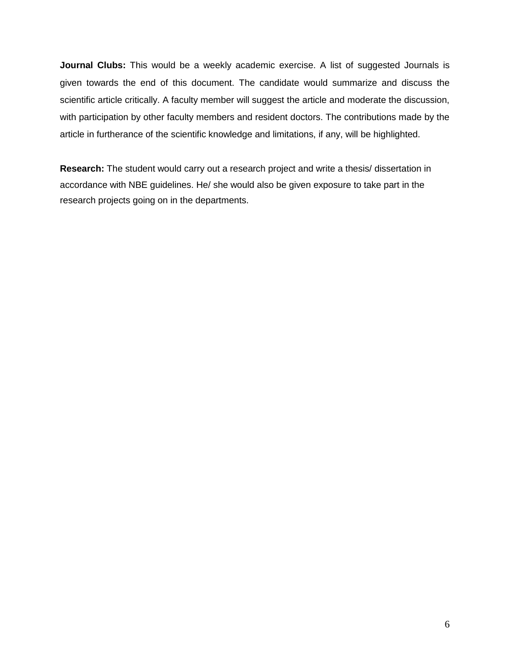**Journal Clubs:** This would be a weekly academic exercise. A list of suggested Journals is given towards the end of this document. The candidate would summarize and discuss the scientific article critically. A faculty member will suggest the article and moderate the discussion, with participation by other faculty members and resident doctors. The contributions made by the article in furtherance of the scientific knowledge and limitations, if any, will be highlighted.

**Research:** The student would carry out a research project and write a thesis/ dissertation in accordance with NBE guidelines. He/ she would also be given exposure to take part in the research projects going on in the departments.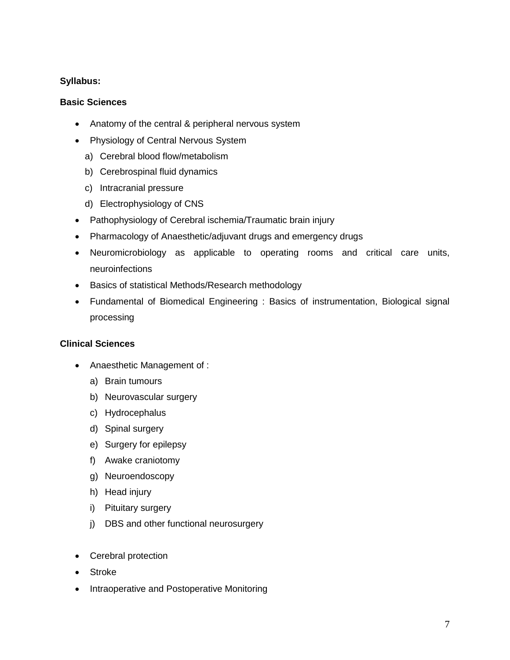#### **Syllabus:**

#### **Basic Sciences**

- Anatomy of the central & peripheral nervous system
- Physiology of Central Nervous System
	- a) Cerebral blood flow/metabolism
	- b) Cerebrospinal fluid dynamics
	- c) Intracranial pressure
	- d) Electrophysiology of CNS
- Pathophysiology of Cerebral ischemia/Traumatic brain injury
- Pharmacology of Anaesthetic/adjuvant drugs and emergency drugs
- Neuromicrobiology as applicable to operating rooms and critical care units, neuroinfections
- Basics of statistical Methods/Research methodology
- Fundamental of Biomedical Engineering : Basics of instrumentation, Biological signal processing

#### **Clinical Sciences**

- Anaesthetic Management of :
	- a) Brain tumours
	- b) Neurovascular surgery
	- c) Hydrocephalus
	- d) Spinal surgery
	- e) Surgery for epilepsy
	- f) Awake craniotomy
	- g) Neuroendoscopy
	- h) Head injury
	- i) Pituitary surgery
	- j) DBS and other functional neurosurgery
- Cerebral protection
- Stroke
- Intraoperative and Postoperative Monitoring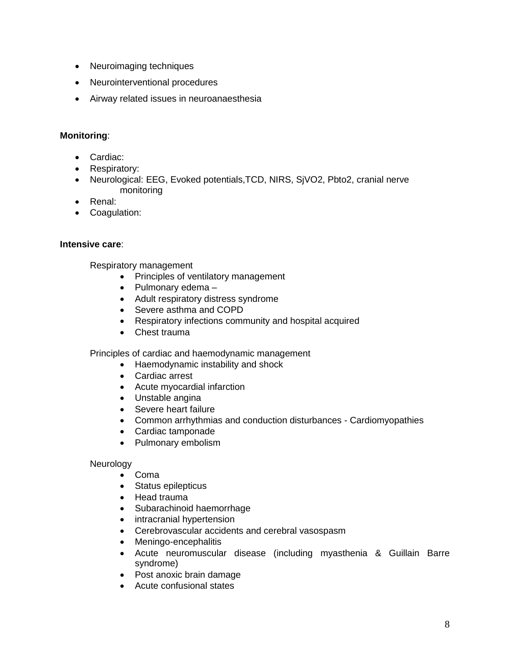- Neuroimaging techniques
- Neurointerventional procedures
- Airway related issues in neuroanaesthesia

#### **Monitoring**:

- Cardiac:
- Respiratory:
- Neurological: EEG, Evoked potentials,TCD, NIRS, SjVO2, Pbto2, cranial nerve monitoring
- Renal:
- Coagulation:

#### **Intensive care**:

Respiratory management

- Principles of ventilatory management
- $\bullet$  Pulmonary edema –
- Adult respiratory distress syndrome
- Severe asthma and COPD
- Respiratory infections community and hospital acquired
- Chest trauma

Principles of cardiac and haemodynamic management

- Haemodynamic instability and shock
- Cardiac arrest
- Acute myocardial infarction
- Unstable angina
- Severe heart failure
- Common arrhythmias and conduction disturbances Cardiomyopathies
- Cardiac tamponade
- Pulmonary embolism

#### **Neurology**

- Coma
- Status epilepticus
- Head trauma
- Subarachinoid haemorrhage
- intracranial hypertension
- Cerebrovascular accidents and cerebral vasospasm
- Meningo-encephalitis
- Acute neuromuscular disease (including myasthenia & Guillain Barre syndrome)
- Post anoxic brain damage
- Acute confusional states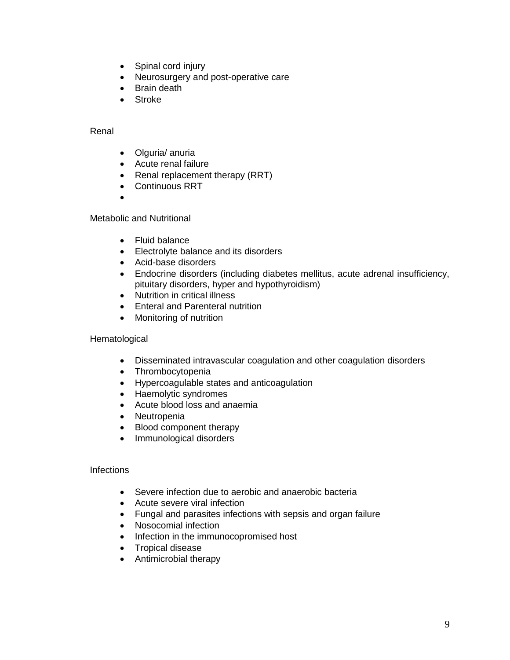- Spinal cord injury
- Neurosurgery and post-operative care
- Brain death
- Stroke

#### Renal

- Olguria/ anuria
- Acute renal failure
- Renal replacement therapy (RRT)
- Continuous RRT
- $\bullet$

Metabolic and Nutritional

- Fluid balance
- Electrolyte balance and its disorders
- Acid-base disorders
- Endocrine disorders (including diabetes mellitus, acute adrenal insufficiency, pituitary disorders, hyper and hypothyroidism)
- Nutrition in critical illness
- Enteral and Parenteral nutrition
- Monitoring of nutrition

#### **Hematological**

- Disseminated intravascular coagulation and other coagulation disorders
- Thrombocytopenia
- Hypercoagulable states and anticoagulation
- Haemolytic syndromes
- Acute blood loss and anaemia
- Neutropenia
- Blood component therapy
- Immunological disorders

#### **Infections**

- Severe infection due to aerobic and anaerobic bacteria
- Acute severe viral infection
- Fungal and parasites infections with sepsis and organ failure
- Nosocomial infection
- Infection in the immunocopromised host
- Tropical disease
- Antimicrobial therapy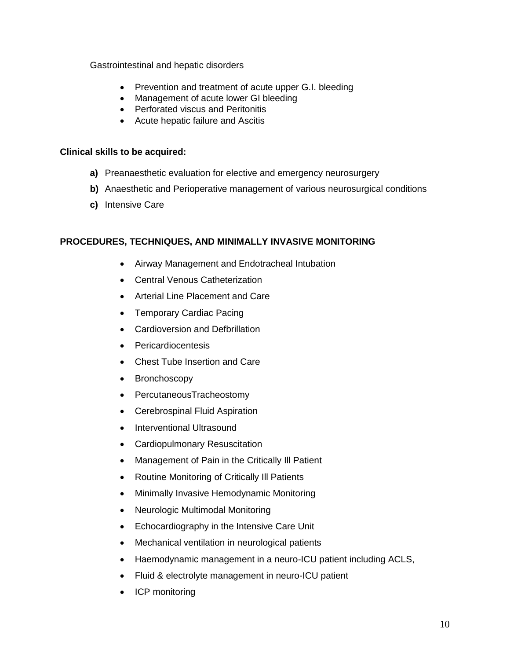Gastrointestinal and hepatic disorders

- Prevention and treatment of acute upper G.I. bleeding
- Management of acute lower GI bleeding
- Perforated viscus and Peritonitis
- Acute hepatic failure and Ascitis

#### **Clinical skills to be acquired:**

- **a)** Preanaesthetic evaluation for elective and emergency neurosurgery
- **b)** Anaesthetic and Perioperative management of various neurosurgical conditions
- **c)** Intensive Care

#### **PROCEDURES, TECHNIQUES, AND MINIMALLY INVASIVE MONITORING**

- Airway Management and Endotracheal Intubation
- Central Venous Catheterization
- Arterial Line Placement and Care
- Temporary Cardiac Pacing
- Cardioversion and Defbrillation
- Pericardiocentesis
- Chest Tube Insertion and Care
- Bronchoscopy
- PercutaneousTracheostomy
- Cerebrospinal Fluid Aspiration
- Interventional Ultrasound
- Cardiopulmonary Resuscitation
- Management of Pain in the Critically III Patient
- Routine Monitoring of Critically III Patients
- Minimally Invasive Hemodynamic Monitoring
- Neurologic Multimodal Monitoring
- Echocardiography in the Intensive Care Unit
- Mechanical ventilation in neurological patients
- Haemodynamic management in a neuro-ICU patient including ACLS,
- Fluid & electrolyte management in neuro-ICU patient
- ICP monitoring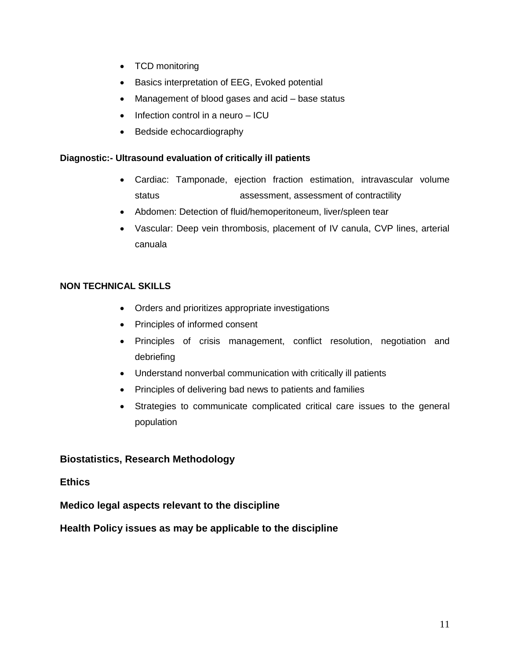- TCD monitoring
- Basics interpretation of EEG, Evoked potential
- Management of blood gases and acid base status
- $\bullet$  Infection control in a neuro  $-$  ICU
- Bedside echocardiography

#### **Diagnostic:- Ultrasound evaluation of critically ill patients**

- Cardiac: Tamponade, ejection fraction estimation, intravascular volume status assessment, assessment of contractility
- Abdomen: Detection of fluid/hemoperitoneum, liver/spleen tear
- Vascular: Deep vein thrombosis, placement of IV canula, CVP lines, arterial canuala

#### **NON TECHNICAL SKILLS**

- Orders and prioritizes appropriate investigations
- Principles of informed consent
- Principles of crisis management, conflict resolution, negotiation and debriefing
- Understand nonverbal communication with critically ill patients
- Principles of delivering bad news to patients and families
- Strategies to communicate complicated critical care issues to the general population

#### **Biostatistics, Research Methodology**

#### **Ethics**

**Medico legal aspects relevant to the discipline**

**Health Policy issues as may be applicable to the discipline**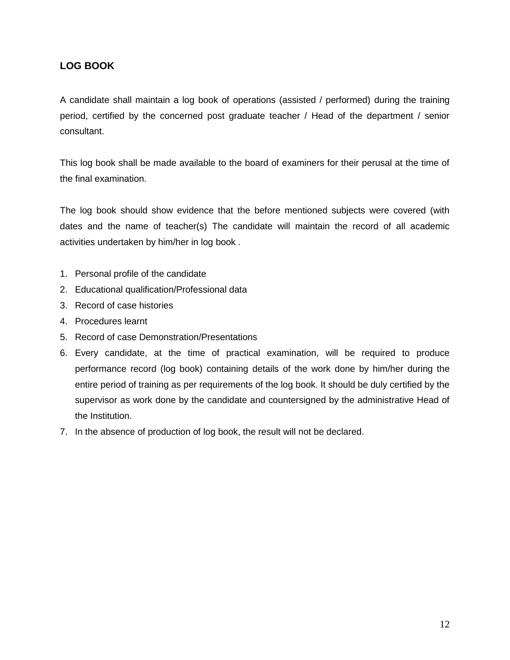#### **LOG BOOK**

A candidate shall maintain a log book of operations (assisted / performed) during the training period, certified by the concerned post graduate teacher / Head of the department / senior consultant.

This log book shall be made available to the board of examiners for their perusal at the time of the final examination.

The log book should show evidence that the before mentioned subjects were covered (with dates and the name of teacher(s) The candidate will maintain the record of all academic activities undertaken by him/her in log book .

- 1. Personal profile of the candidate
- 2. Educational qualification/Professional data
- 3. Record of case histories
- 4. Procedures learnt
- 5. Record of case Demonstration/Presentations
- 6. Every candidate, at the time of practical examination, will be required to produce performance record (log book) containing details of the work done by him/her during the entire period of training as per requirements of the log book. It should be duly certified by the supervisor as work done by the candidate and countersigned by the administrative Head of the Institution.
- 7. In the absence of production of log book, the result will not be declared.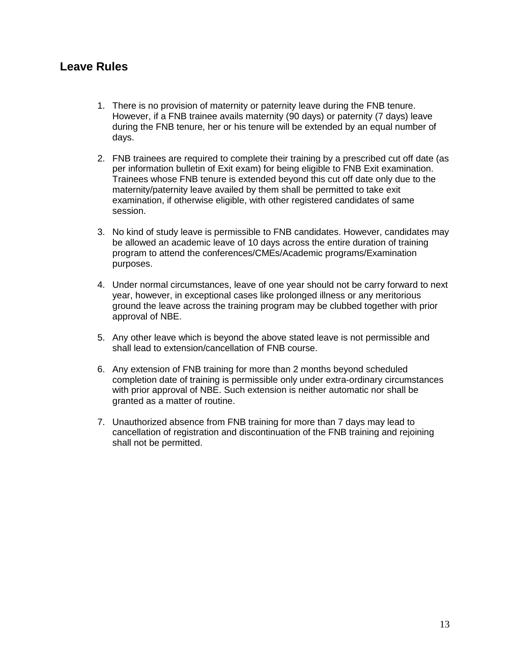### **Leave Rules**

- 1. There is no provision of maternity or paternity leave during the FNB tenure. However, if a FNB trainee avails maternity (90 days) or paternity (7 days) leave during the FNB tenure, her or his tenure will be extended by an equal number of days.
- 2. FNB trainees are required to complete their training by a prescribed cut off date (as per information bulletin of Exit exam) for being eligible to FNB Exit examination. Trainees whose FNB tenure is extended beyond this cut off date only due to the maternity/paternity leave availed by them shall be permitted to take exit examination, if otherwise eligible, with other registered candidates of same session.
- 3. No kind of study leave is permissible to FNB candidates. However, candidates may be allowed an academic leave of 10 days across the entire duration of training program to attend the conferences/CMEs/Academic programs/Examination purposes.
- 4. Under normal circumstances, leave of one year should not be carry forward to next year, however, in exceptional cases like prolonged illness or any meritorious ground the leave across the training program may be clubbed together with prior approval of NBE.
- 5. Any other leave which is beyond the above stated leave is not permissible and shall lead to extension/cancellation of FNB course.
- 6. Any extension of FNB training for more than 2 months beyond scheduled completion date of training is permissible only under extra-ordinary circumstances with prior approval of NBE. Such extension is neither automatic nor shall be granted as a matter of routine.
- 7. Unauthorized absence from FNB training for more than 7 days may lead to cancellation of registration and discontinuation of the FNB training and rejoining shall not be permitted.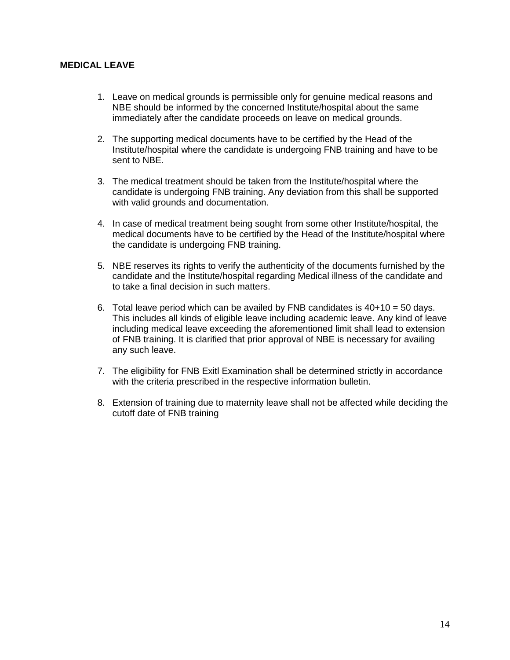#### **MEDICAL LEAVE**

- 1. Leave on medical grounds is permissible only for genuine medical reasons and NBE should be informed by the concerned Institute/hospital about the same immediately after the candidate proceeds on leave on medical grounds.
- 2. The supporting medical documents have to be certified by the Head of the Institute/hospital where the candidate is undergoing FNB training and have to be sent to NBE.
- 3. The medical treatment should be taken from the Institute/hospital where the candidate is undergoing FNB training. Any deviation from this shall be supported with valid grounds and documentation.
- 4. In case of medical treatment being sought from some other Institute/hospital, the medical documents have to be certified by the Head of the Institute/hospital where the candidate is undergoing FNB training.
- 5. NBE reserves its rights to verify the authenticity of the documents furnished by the candidate and the Institute/hospital regarding Medical illness of the candidate and to take a final decision in such matters.
- 6. Total leave period which can be availed by FNB candidates is  $40+10 = 50$  days. This includes all kinds of eligible leave including academic leave. Any kind of leave including medical leave exceeding the aforementioned limit shall lead to extension of FNB training. It is clarified that prior approval of NBE is necessary for availing any such leave.
- 7. The eligibility for FNB Exitl Examination shall be determined strictly in accordance with the criteria prescribed in the respective information bulletin.
- 8. Extension of training due to maternity leave shall not be affected while deciding the cutoff date of FNB training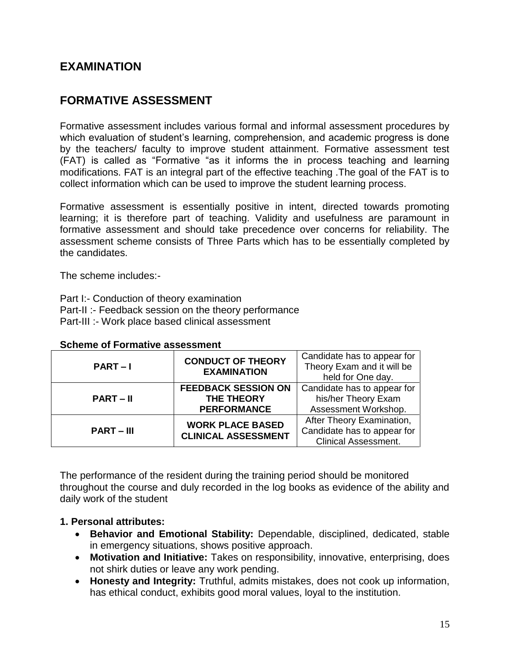## **EXAMINATION**

## **FORMATIVE ASSESSMENT**

Formative assessment includes various formal and informal assessment procedures by which evaluation of student's learning, comprehension, and academic progress is done by the teachers/ faculty to improve student attainment. Formative assessment test (FAT) is called as "Formative "as it informs the in process teaching and learning modifications. FAT is an integral part of the effective teaching .The goal of the FAT is to collect information which can be used to improve the student learning process.

Formative assessment is essentially positive in intent, directed towards promoting learning; it is therefore part of teaching. Validity and usefulness are paramount in formative assessment and should take precedence over concerns for reliability. The assessment scheme consists of Three Parts which has to be essentially completed by the candidates.

The scheme includes:-

Part I:- Conduction of theory examination Part-II :- Feedback session on the theory performance Part-III :- Work place based clinical assessment

| $PART-I$       | <b>CONDUCT OF THEORY</b><br><b>EXAMINATION</b>                        | Candidate has to appear for<br>Theory Exam and it will be<br>held for One day.          |
|----------------|-----------------------------------------------------------------------|-----------------------------------------------------------------------------------------|
| <b>PART-II</b> | <b>FEEDBACK SESSION ON</b><br><b>THE THEORY</b><br><b>PERFORMANCE</b> | Candidate has to appear for<br>his/her Theory Exam<br>Assessment Workshop.              |
| $PART - III$   | <b>WORK PLACE BASED</b><br><b>CLINICAL ASSESSMENT</b>                 | After Theory Examination,<br>Candidate has to appear for<br><b>Clinical Assessment.</b> |

The performance of the resident during the training period should be monitored throughout the course and duly recorded in the log books as evidence of the ability and daily work of the student

#### **1. Personal attributes:**

- **Behavior and Emotional Stability:** Dependable, disciplined, dedicated, stable in emergency situations, shows positive approach.
- **Motivation and Initiative:** Takes on responsibility, innovative, enterprising, does not shirk duties or leave any work pending.
- **Honesty and Integrity:** Truthful, admits mistakes, does not cook up information, has ethical conduct, exhibits good moral values, loyal to the institution.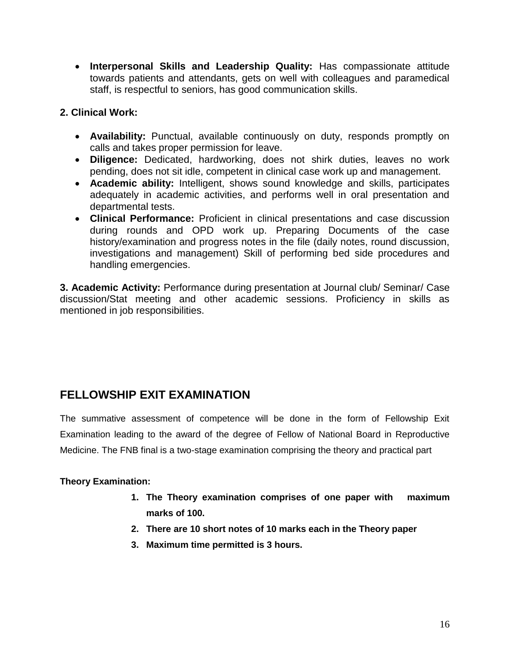**Interpersonal Skills and Leadership Quality:** Has compassionate attitude towards patients and attendants, gets on well with colleagues and paramedical staff, is respectful to seniors, has good communication skills.

#### **2. Clinical Work:**

- **Availability:** Punctual, available continuously on duty, responds promptly on calls and takes proper permission for leave.
- **Diligence:** Dedicated, hardworking, does not shirk duties, leaves no work pending, does not sit idle, competent in clinical case work up and management.
- **Academic ability:** Intelligent, shows sound knowledge and skills, participates adequately in academic activities, and performs well in oral presentation and departmental tests.
- **Clinical Performance:** Proficient in clinical presentations and case discussion during rounds and OPD work up. Preparing Documents of the case history/examination and progress notes in the file (daily notes, round discussion, investigations and management) Skill of performing bed side procedures and handling emergencies.

**3. Academic Activity:** Performance during presentation at Journal club/ Seminar/ Case discussion/Stat meeting and other academic sessions. Proficiency in skills as mentioned in job responsibilities.

## **FELLOWSHIP EXIT EXAMINATION**

The summative assessment of competence will be done in the form of Fellowship Exit Examination leading to the award of the degree of Fellow of National Board in Reproductive Medicine. The FNB final is a two-stage examination comprising the theory and practical part

#### **Theory Examination:**

- **1. The Theory examination comprises of one paper with maximum marks of 100.**
- **2. There are 10 short notes of 10 marks each in the Theory paper**
- **3. Maximum time permitted is 3 hours.**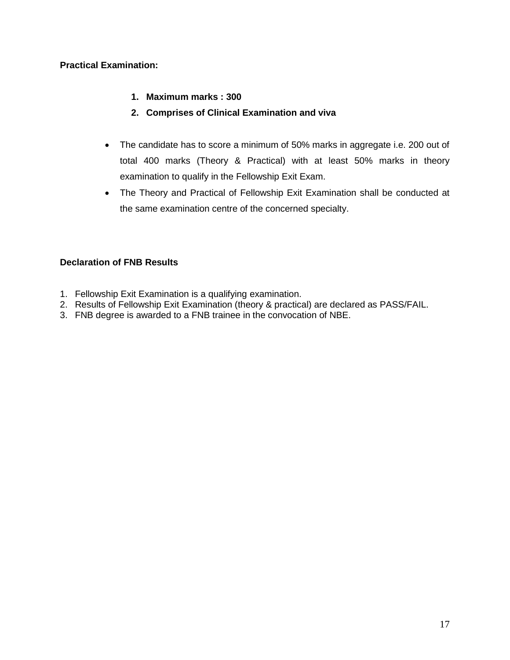#### **Practical Examination:**

- **1. Maximum marks : 300**
- **2. Comprises of Clinical Examination and viva**
- The candidate has to score a minimum of 50% marks in aggregate i.e. 200 out of total 400 marks (Theory & Practical) with at least 50% marks in theory examination to qualify in the Fellowship Exit Exam.
- The Theory and Practical of Fellowship Exit Examination shall be conducted at the same examination centre of the concerned specialty.

#### **Declaration of FNB Results**

- 1. Fellowship Exit Examination is a qualifying examination.
- 2. Results of Fellowship Exit Examination (theory & practical) are declared as PASS/FAIL.
- 3. FNB degree is awarded to a FNB trainee in the convocation of NBE.